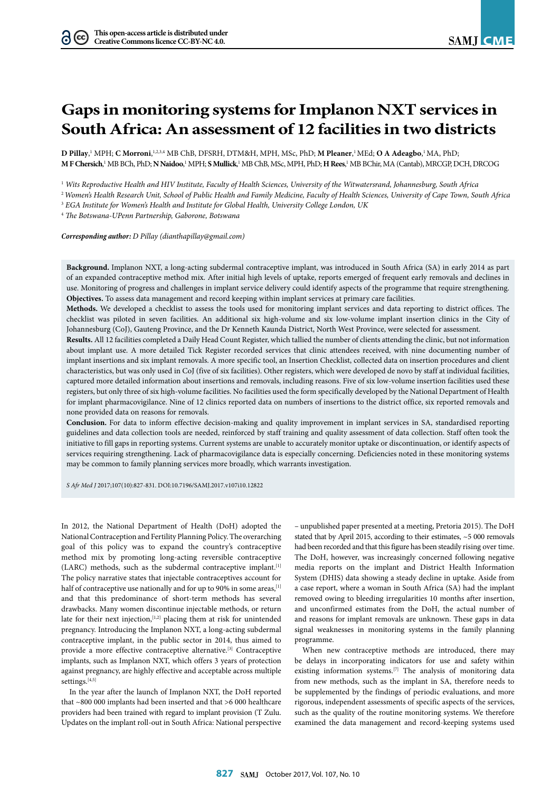# **Gaps in monitoring systems for Implanon NXT services in South Africa: An assessment of 12 facilities in two districts**

**D Pillay**, 1 MPH; **C Morroni**, 1,2,3,4 MB ChB, DFSRH, DTM&H, MPH, MSc, PhD; **M Pleaner**, 1 MEd; **O A Adeagbo**, 1 MA, PhD;  ${\bf M}$  **F Chersich**,' MB BCh, PhD;  ${\bf N}$  Naidoo,' MPH;  ${\bf S}$  Mullick,' MB ChB, MSc, MPH, PhD; **H Rees**,' MB BChir, MA (Cantab), MRCGP, DCH, DRCOG

<sup>1</sup> *Wits Reproductive Health and HIV Institute, Faculty of Health Sciences, University of the Witwatersrand, Johannesburg, South Africa*

<sup>2</sup>*Women's Health Research Unit, School of Public Health and Family Medicine, Faculty of Health Sciences, University of Cape Town, South Africa* 

<sup>3</sup> *EGA Institute for Women's Health and Institute for Global Health, University College London, UK*

<sup>4</sup> *The Botswana-UPenn Partnership, Gaborone, Botswana*

*Corresponding author: D Pillay (dianthapillay@gmail.com)*

**Background.** Implanon NXT, a long-acting subdermal contraceptive implant, was introduced in South Africa (SA) in early 2014 as part of an expanded contraceptive method mix. After initial high levels of uptake, reports emerged of frequent early removals and declines in use. Monitoring of progress and challenges in implant service delivery could identify aspects of the programme that require strengthening. **Objectives.** To assess data management and record keeping within implant services at primary care facilities.

**Methods.** We developed a checklist to assess the tools used for monitoring implant services and data reporting to district offices. The checklist was piloted in seven facilities. An additional six high-volume and six low-volume implant insertion clinics in the City of Johannesburg (CoJ), Gauteng Province, and the Dr Kenneth Kaunda District, North West Province, were selected for assessment.

**Results.** All 12 facilities completed a Daily Head Count Register, which tallied the number of clients attending the clinic, but not information about implant use. A more detailed Tick Register recorded services that clinic attendees received, with nine documenting number of implant insertions and six implant removals. A more specific tool, an Insertion Checklist, collected data on insertion procedures and client characteristics, but was only used in CoJ (five of six facilities). Other registers, which were developed de novo by staff at individual facilities, captured more detailed information about insertions and removals, including reasons. Five of six low-volume insertion facilities used these registers, but only three of six high-volume facilities. No facilities used the form specifically developed by the National Department of Health for implant pharmacovigilance. Nine of 12 clinics reported data on numbers of insertions to the district office, six reported removals and none provided data on reasons for removals.

**Conclusion.** For data to inform effective decision-making and quality improvement in implant services in SA, standardised reporting guidelines and data collection tools are needed, reinforced by staff training and quality assessment of data collection. Staff often took the initiative to fill gaps in reporting systems. Current systems are unable to accurately monitor uptake or discontinuation, or identify aspects of services requiring strengthening. Lack of pharmacovigilance data is especially concerning. Deficiencies noted in these monitoring systems may be common to family planning services more broadly, which warrants investigation.

*S Afr Med J* 2017;107(10):827-831. DOI:10.7196/SAMJ.2017.v107i10.12822

In 2012, the National Department of Health (DoH) adopted the National Contraception and Fertility Planning Policy. The overarching goal of this policy was to expand the country's contraceptive method mix by promoting long-acting reversible contraceptive (LARC) methods, such as the subdermal contraceptive implant.[1] The policy narrative states that injectable contraceptives account for half of contraceptive use nationally and for up to 90% in some areas,<sup>[1]</sup> and that this predominance of short-term methods has several drawbacks. Many women discontinue injectable methods, or return late for their next injection, [1,2] placing them at risk for unintended pregnancy. Introducing the Implanon NXT, a long-acting subdermal contraceptive implant, in the public sector in 2014, thus aimed to provide a more effective contraceptive alternative.<sup>[3]</sup> Contraceptive implants, such as Implanon NXT, which offers 3 years of protection against pregnancy, are highly effective and acceptable across multiple settings.[4,5]

In the year after the launch of Implanon NXT, the DoH reported that ~800 000 implants had been inserted and that >6 000 healthcare providers had been trained with regard to implant provision (T Zulu. Updates on the implant roll-out in South Africa: National perspective

– unpublished paper presented at a meeting, Pretoria 2015). The DoH stated that by April 2015, according to their estimates, ~5 000 removals had been recorded and that this figure has been steadily rising over time. The DoH, however, was increasingly concerned following negative media reports on the implant and District Health Information System (DHIS) data showing a steady decline in uptake. Aside from a case report, where a woman in South Africa (SA) had the implant removed owing to bleeding irregularities 10 months after insertion, and unconfirmed estimates from the DoH, the actual number of and reasons for implant removals are unknown. These gaps in data signal weaknesses in monitoring systems in the family planning programme.

When new contraceptive methods are introduced, there may be delays in incorporating indicators for use and safety within existing information systems.[7] The analysis of monitoring data from new methods, such as the implant in SA, therefore needs to be supplemented by the findings of periodic evaluations, and more rigorous, independent assessments of specific aspects of the services, such as the quality of the routine monitoring systems. We therefore examined the data management and record-keeping systems used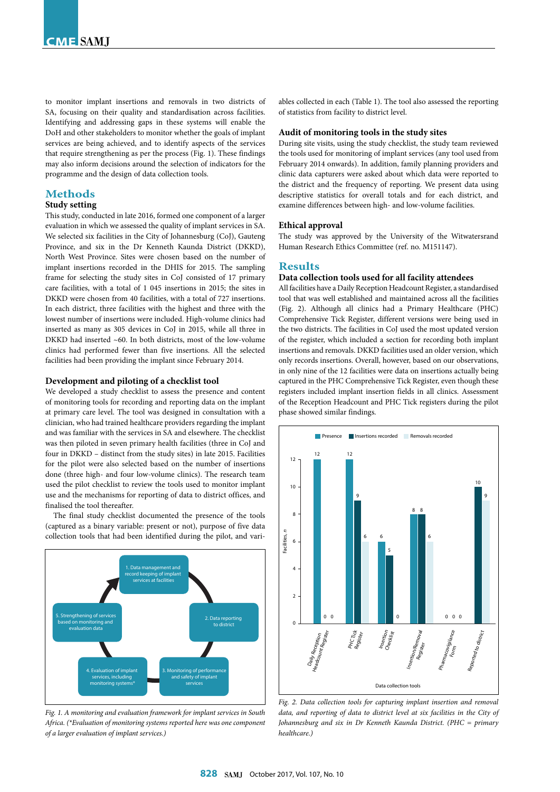to monitor implant insertions and removals in two districts of SA, focusing on their quality and standardisation across facilities. Identifying and addressing gaps in these systems will enable the DoH and other stakeholders to monitor whether the goals of implant services are being achieved, and to identify aspects of the services that require strengthening as per the process (Fig. 1). These findings may also inform decisions around the selection of indicators for the programme and the design of data collection tools.

# **Methods**

## **Study setting**

This study, conducted in late 2016, formed one component of a larger evaluation in which we assessed the quality of implant services in SA. We selected six facilities in the City of Johannesburg (CoJ), Gauteng Province, and six in the Dr Kenneth Kaunda District (DKKD), North West Province. Sites were chosen based on the number of implant insertions recorded in the DHIS for 2015. The sampling frame for selecting the study sites in CoJ consisted of 17 primary care facilities, with a total of 1 045 insertions in 2015; the sites in DKKD were chosen from 40 facilities, with a total of 727 insertions. In each district, three facilities with the highest and three with the lowest number of insertions were included. High-volume clinics had inserted as many as 305 devices in CoJ in 2015, while all three in DKKD had inserted ~60. In both districts, most of the low-volume clinics had performed fewer than five insertions. All the selected facilities had been providing the implant since February 2014.

### **Development and piloting of a checklist tool**

We developed a study checklist to assess the presence and content of monitoring tools for recording and reporting data on the implant at primary care level. The tool was designed in consultation with a clinician, who had trained healthcare providers regarding the implant and was familiar with the services in SA and elsewhere. The checklist was then piloted in seven primary health facilities (three in CoJ and four in DKKD – distinct from the study sites) in late 2015. Facilities for the pilot were also selected based on the number of insertions done (three high- and four low-volume clinics). The research team used the pilot checklist to review the tools used to monitor implant use and the mechanisms for reporting of data to district offices, and finalised the tool thereafter.

The final study checklist documented the presence of the tools (captured as a binary variable: present or not), purpose of five data collection tools that had been identified during the pilot, and vari-



*Fig. 1. A monitoring and evaluation framework for implant services in South Africa. (\*Evaluation of monitoring systems reported here was one component of a larger evaluation of implant services.)*

ables collected in each (Table 1). The tool also assessed the reporting of statistics from facility to district level.

### **Audit of monitoring tools in the study sites**

During site visits, using the study checklist, the study team reviewed the tools used for monitoring of implant services (any tool used from February 2014 onwards). In addition, family planning providers and clinic data capturers were asked about which data were reported to the district and the frequency of reporting. We present data using descriptive statistics for overall totals and for each district, and examine differences between high- and low-volume facilities.

#### **Ethical approval**

The study was approved by the University of the Witwatersrand Human Research Ethics Committee (ref. no. M151147).

## **Results**

## **Data collection tools used for all facility attendees**

All facilities have a Daily Reception Headcount Register, a standardised tool that was well established and maintained across all the facilities (Fig. 2). Although all clinics had a Primary Healthcare (PHC) Comprehensive Tick Register, different versions were being used in the two districts. The facilities in CoJ used the most updated version of the register, which included a section for recording both implant insertions and removals. DKKD facilities used an older version, which only records insertions. Overall, however, based on our observations, in only nine of the 12 facilities were data on insertions actually being captured in the PHC Comprehensive Tick Register, even though these registers included implant insertion fields in all clinics. Assessment of the Reception Headcount and PHC Tick registers during the pilot phase showed similar findings.



*Fig. 2. Data collection tools for capturing implant insertion and removal data, and reporting of data to district level at six facilities in the City of Johannesburg and six in Dr Kenneth Kaunda District. (PHC = primary healthcare.)*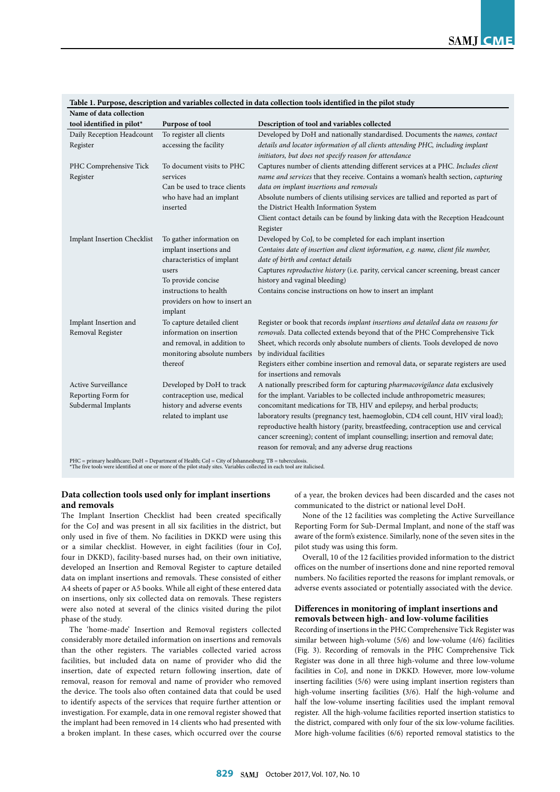| Name of data collection                                                |                                                                                                                                                                                       |                                                                                                                                                                                                                                                                                                                                                                                                                                                                                                                                                           |
|------------------------------------------------------------------------|---------------------------------------------------------------------------------------------------------------------------------------------------------------------------------------|-----------------------------------------------------------------------------------------------------------------------------------------------------------------------------------------------------------------------------------------------------------------------------------------------------------------------------------------------------------------------------------------------------------------------------------------------------------------------------------------------------------------------------------------------------------|
| tool identified in pilot*                                              | Purpose of tool                                                                                                                                                                       | Description of tool and variables collected                                                                                                                                                                                                                                                                                                                                                                                                                                                                                                               |
| Daily Reception Headcount<br>Register                                  | To register all clients<br>accessing the facility                                                                                                                                     | Developed by DoH and nationally standardised. Documents the names, contact<br>details and locator information of all clients attending PHC, including implant<br>initiators, but does not specify reason for attendance                                                                                                                                                                                                                                                                                                                                   |
| PHC Comprehensive Tick<br>Register                                     | To document visits to PHC<br>services<br>Can be used to trace clients<br>who have had an implant<br>inserted                                                                          | Captures number of clients attending different services at a PHC. Includes client<br>name and services that they receive. Contains a woman's health section, capturing<br>data on implant insertions and removals<br>Absolute numbers of clients utilising services are tallied and reported as part of<br>the District Health Information System<br>Client contact details can be found by linking data with the Reception Headcount<br>Register                                                                                                         |
| <b>Implant Insertion Checklist</b>                                     | To gather information on<br>implant insertions and<br>characteristics of implant<br>users<br>To provide concise<br>instructions to health<br>providers on how to insert an<br>implant | Developed by CoJ, to be completed for each implant insertion<br>Contains date of insertion and client information, e.g. name, client file number,<br>date of birth and contact details<br>Captures reproductive history (i.e. parity, cervical cancer screening, breast cancer<br>history and vaginal bleeding)<br>Contains concise instructions on how to insert an implant                                                                                                                                                                              |
| Implant Insertion and<br>Removal Register                              | To capture detailed client<br>information on insertion<br>and removal, in addition to<br>monitoring absolute numbers<br>thereof                                                       | Register or book that records implant insertions and detailed data on reasons for<br>removals. Data collected extends beyond that of the PHC Comprehensive Tick<br>Sheet, which records only absolute numbers of clients. Tools developed de novo<br>by individual facilities<br>Registers either combine insertion and removal data, or separate registers are used<br>for insertions and removals                                                                                                                                                       |
| <b>Active Surveillance</b><br>Reporting Form for<br>Subdermal Implants | Developed by DoH to track<br>contraception use, medical<br>history and adverse events<br>related to implant use                                                                       | A nationally prescribed form for capturing pharmacovigilance data exclusively<br>for the implant. Variables to be collected include anthropometric measures;<br>concomitant medications for TB, HIV and epilepsy, and herbal products;<br>laboratory results (pregnancy test, haemoglobin, CD4 cell count, HIV viral load);<br>reproductive health history (parity, breastfeeding, contraception use and cervical<br>cancer screening); content of implant counselling; insertion and removal date;<br>reason for removal; and any adverse drug reactions |

#### **Table 1. Purpose, description and variables collected in data collection tools identified in the pilot study**

PHC = primary healthcare; DoH = Department of Health; CoJ = City of Johannesburg; TB = tuberculosis. \*The five tools were identified at one or more of the pilot study sites. Variables collected in each tool are italicised.

# **Data collection tools used only for implant insertions and removals**

The Implant Insertion Checklist had been created specifically for the CoJ and was present in all six facilities in the district, but only used in five of them. No facilities in DKKD were using this or a similar checklist. However, in eight facilities (four in CoJ, four in DKKD), facility-based nurses had, on their own initiative, developed an Insertion and Removal Register to capture detailed data on implant insertions and removals. These consisted of either A4 sheets of paper or A5 books. While all eight of these entered data on insertions, only six collected data on removals. These registers were also noted at several of the clinics visited during the pilot phase of the study.

The 'home-made' Insertion and Removal registers collected considerably more detailed information on insertions and removals than the other registers. The variables collected varied across facilities, but included data on name of provider who did the insertion, date of expected return following insertion, date of removal, reason for removal and name of provider who removed the device. The tools also often contained data that could be used to identify aspects of the services that require further attention or investigation. For example, data in one removal register showed that the implant had been removed in 14 clients who had presented with a broken implant. In these cases, which occurred over the course

of a year, the broken devices had been discarded and the cases not communicated to the district or national level DoH.

None of the 12 facilities was completing the Active Surveillance Reporting Form for Sub-Dermal Implant, and none of the staff was aware of the form's existence. Similarly, none of the seven sites in the pilot study was using this form.

Overall, 10 of the 12 facilities provided information to the district offices on the number of insertions done and nine reported removal numbers. No facilities reported the reasons for implant removals, or adverse events associated or potentially associated with the device.

# **Differences in monitoring of implant insertions and removals between high- and low-volume facilities**

Recording of insertions in the PHC Comprehensive Tick Registerwas similar between high-volume (5/6) and low-volume (4/6) facilities (Fig. 3). Recording of removals in the PHC Comprehensive Tick Register was done in all three high-volume and three low-volume facilities in CoJ, and none in DKKD. However, more low-volume inserting facilities (5/6) were using implant insertion registers than high-volume inserting facilities **(**3/6). Half the high-volume and half the low-volume inserting facilities used the implant removal register. All the high-volume facilities reported insertion statistics to the district, compared with only four of the six low-volume facilities. More high-volume facilities (6/6) reported removal statistics to the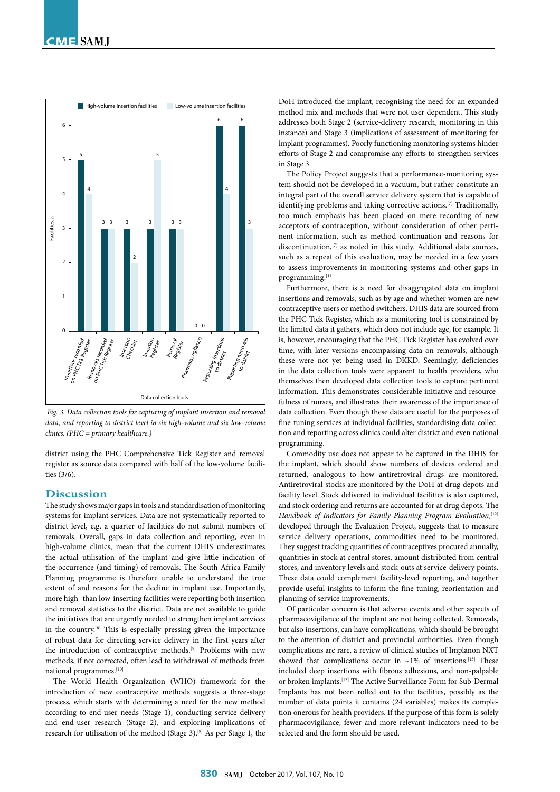

 *Fig. 3. Data collection tools for capturing of implant insertion and removal data, and reporting to district level in six high-volume and six low-volume clinics. (PHC = primary healthcare.)*

district using the PHC Comprehensive Tick Register and removal register as source data compared with half of the low-volume facilities (3/6).

# **Discussion**

The study shows major gaps in tools and standardisation of monitoring systems for implant services. Data are not systematically reported to district level, e.g. a quarter of facilities do not submit numbers of removals. Overall, gaps in data collection and reporting, even in high-volume clinics, mean that the current DHIS underestimates the actual utilisation of the implant and give little indication of the occurrence (and timing) of removals. The South Africa Family Planning programme is therefore unable to understand the true extent of and reasons for the decline in implant use. Importantly, more high- than low-inserting facilities were reporting both insertion and removal statistics to the district. Data are not available to guide the initiatives that are urgently needed to strengthen implant services in the country.[8] This is especially pressing given the importance of robust data for directing service delivery in the first years after the introduction of contraceptive methods.[9] Problems with new methods, if not corrected, often lead to withdrawal of methods from national programmes.<sup>[10]</sup>

The World Health Organization (WHO) framework for the introduction of new contraceptive methods suggests a three-stage process, which starts with determining a need for the new method according to end-user needs (Stage 1), conducting service delivery and end-user research (Stage 2), and exploring implications of research for utilisation of the method (Stage 3).<sup>[9]</sup> As per Stage 1, the

DoH introduced the implant, recognising the need for an expanded method mix and methods that were not user dependent. This study addresses both Stage 2 (service-delivery research, monitoring in this instance) and Stage 3 (implications of assessment of monitoring for implant programmes). Poorly functioning monitoring systems hinder efforts of Stage 2 and compromise any efforts to strengthen services in Stage 3.

The Policy Project suggests that a performance-monitoring system should not be developed in a vacuum, but rather constitute an integral part of the overall service delivery system that is capable of identifying problems and taking corrective actions.<sup>[7]</sup> Traditionally, too much emphasis has been placed on mere recording of new acceptors of contraception, without consideration of other pertinent information, such as method continuation and reasons for discontinuation,<sup>[7]</sup> as noted in this study. Additional data sources, such as a repeat of this evaluation, may be needed in a few years to assess improvements in monitoring systems and other gaps in programming.[11]

Furthermore, there is a need for disaggregated data on implant insertions and removals, such as by age and whether women are new contraceptive users or method switchers. DHIS data are sourced from the PHC Tick Register, which as a monitoring tool is constrained by the limited data it gathers, which does not include age, for example. It is, however, encouraging that the PHC Tick Register has evolved over time, with later versions encompassing data on removals, although these were not yet being used in DKKD. Seemingly, deficiencies in the data collection tools were apparent to health providers, who themselves then developed data collection tools to capture pertinent information. This demonstrates considerable initiative and resourcefulness of nurses, and illustrates their awareness of the importance of data collection. Even though these data are useful for the purposes of fine-tuning services at individual facilities, standardising data collection and reporting across clinics could alter district and even national programming.

Commodity use does not appear to be captured in the DHIS for the implant, which should show numbers of devices ordered and returned, analogous to how antiretroviral drugs are monitored. Antiretroviral stocks are monitored by the DoH at drug depots and facility level. Stock delivered to individual facilities is also captured, and stock ordering and returns are accounted for at drug depots. The *Handbook of Indicators for Family Planning Program Evaluation*, [12] developed through the Evaluation Project, suggests that to measure service delivery operations, commodities need to be monitored. They suggest tracking quantities of contraceptives procured annually, quantities in stock at central stores, amount distributed from central stores, and inventory levels and stock-outs at service-delivery points. These data could complement facility-level reporting, and together provide useful insights to inform the fine-tuning, reorientation and planning of service improvements.

Of particular concern is that adverse events and other aspects of pharmacovigilance of the implant are not being collected. Removals, but also insertions, can have complications, which should be brought to the attention of district and provincial authorities. Even though complications are rare, a review of clinical studies of Implanon NXT showed that complications occur in  $~1\%$  of insertions.<sup>[13]</sup> These included deep insertions with fibrous adhesions, and non-palpable or broken implants.[13] The Active Surveillance Form for Sub-Dermal Implants has not been rolled out to the facilities, possibly as the number of data points it contains (24 variables) makes its completion onerous for health providers. If the purpose of this form is solely pharmacovigilance, fewer and more relevant indicators need to be selected and the form should be used.